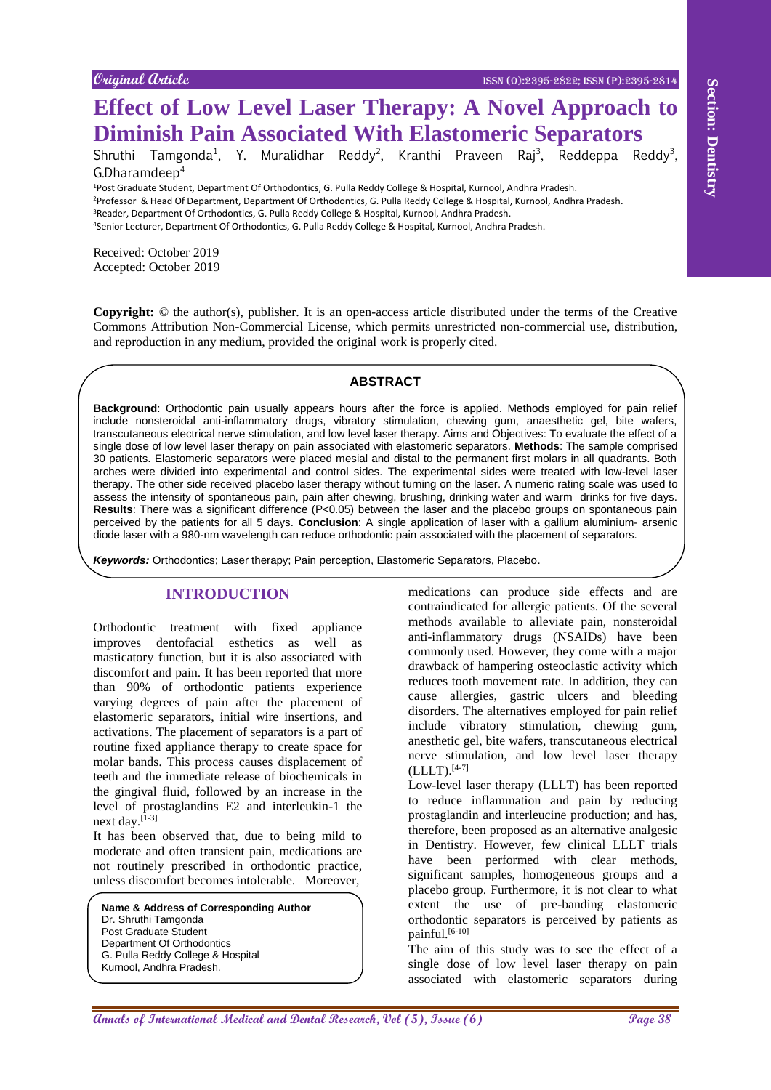#### **Original Article** ISSN (O):2395-2822; ISSN (P):2395-2814

# **Effect of Low Level Laser Therapy: A Novel Approach to Diminish Pain Associated With Elastomeric Separators**

Shruthi Tamgonda<sup>1</sup>, Y. Muralidhar Reddy<sup>2</sup>, Kranthi Praveen Raj<sup>3</sup>, Reddeppa Reddy<sup>3</sup>, G.Dharamdeep<sup>4</sup>

<sup>1</sup>Post Graduate Student, Department Of Orthodontics, G. Pulla Reddy College & Hospital, Kurnool, Andhra Pradesh. <sup>2</sup>Professor & Head Of Department, Department Of Orthodontics, G. Pulla Reddy College & Hospital, Kurnool, Andhra Pradesh. <sup>3</sup>Reader, Department Of Orthodontics, G. Pulla Reddy College & Hospital, Kurnool, Andhra Pradesh.

<sup>4</sup>Senior Lecturer, Department Of Orthodontics, G. Pulla Reddy College & Hospital, Kurnool, Andhra Pradesh.

Received: October 2019 Accepted: October 2019

**Copyright:** © the author(s), publisher. It is an open-access article distributed under the terms of the Creative Commons Attribution Non-Commercial License, which permits unrestricted non-commercial use, distribution, and reproduction in any medium, provided the original work is properly cited.

## **ABSTRACT**

**A EXERCITE CONFIDENT CONFIDENT CONFIDENT CONFIDENT CONFIDENT CONFIDENT CONFIDENT CONFIDENT CONFIDENT CONFIDENT CONFIDENT CONFIDENT CONFIDENT CONFIDENT CONFIDENT CONFIDENT CONFIDENT CONFIDENT CONFIDENT CONFIDENT CONFIDEN Background**: Orthodontic pain usually appears hours after the force is applied. Methods employed for pain relief include nonsteroidal anti-inflammatory drugs, vibratory stimulation, chewing gum, anaesthetic gel, bite wafers, transcutaneous electrical nerve stimulation, and low level laser therapy. Aims and Objectives: To evaluate the effect of a single dose of low level laser therapy on pain associated with elastomeric separators. **Methods**: The sample comprised 30 patients. Elastomeric separators were placed mesial and distal to the permanent first molars in all quadrants. Both arches were divided into experimental and control sides. The experimental sides were treated with low-level laser therapy. The other side received placebo laser therapy without turning on the laser. A numeric rating scale was used to assess the intensity of spontaneous pain, pain after chewing, brushing, drinking water and warm drinks for five days. **Results**: There was a significant difference (P<0.05) between the laser and the placebo groups on spontaneous pain perceived by the patients for all 5 days. **Conclusion**: A single application of laser with a gallium aluminium- arsenic diode laser with a 980-nm wavelength can reduce orthodontic pain associated with the placement of separators.

*Keywords:* Orthodontics; Laser therapy; Pain perception, Elastomeric Separators, Placebo.

# **INTRODUCTION**

Orthodontic treatment with fixed appliance improves dentofacial esthetics as well as masticatory function, but it is also associated with discomfort and pain. It has been reported that more than 90% of orthodontic patients experience varying degrees of pain after the placement of elastomeric separators, initial wire insertions, and activations. The placement of separators is a part of routine fixed appliance therapy to create space for molar bands. This process causes displacement of teeth and the immediate release of biochemicals in the gingival fluid, followed by an increase in the level of prostaglandins E2 and interleukin-1 the next day.[1-3]

It has been observed that, due to being mild to moderate and often transient pain, medications are not routinely prescribed in orthodontic practice, unless discomfort becomes intolerable. Moreover,

**Name & Address of Corresponding Author** Dr. Shruthi Tamgonda Post Graduate Student Department Of Orthodontics G. Pulla Reddy College & Hospital Kurnool, Andhra Pradesh.

medications can produce side effects and are contraindicated for allergic patients. Of the several methods available to alleviate pain, nonsteroidal anti-inflammatory drugs (NSAIDs) have been commonly used. However, they come with a major drawback of hampering osteoclastic activity which reduces tooth movement rate. In addition, they can cause allergies, gastric ulcers and bleeding disorders. The alternatives employed for pain relief include vibratory stimulation, chewing gum, anesthetic gel, bite wafers, transcutaneous electrical nerve stimulation, and low level laser therapy  $(LLLT).$ <sup>[4-7]</sup>

Low-level laser therapy (LLLT) has been reported to reduce inflammation and pain by reducing prostaglandin and interleucine production; and has, therefore, been proposed as an alternative analgesic in Dentistry. However, few clinical LLLT trials have been performed with clear methods, significant samples, homogeneous groups and a placebo group. Furthermore, it is not clear to what extent the use of pre-banding elastomeric orthodontic separators is perceived by patients as painful. $[6-10]$ 

The aim of this study was to see the effect of a single dose of low level laser therapy on pain associated with elastomeric separators during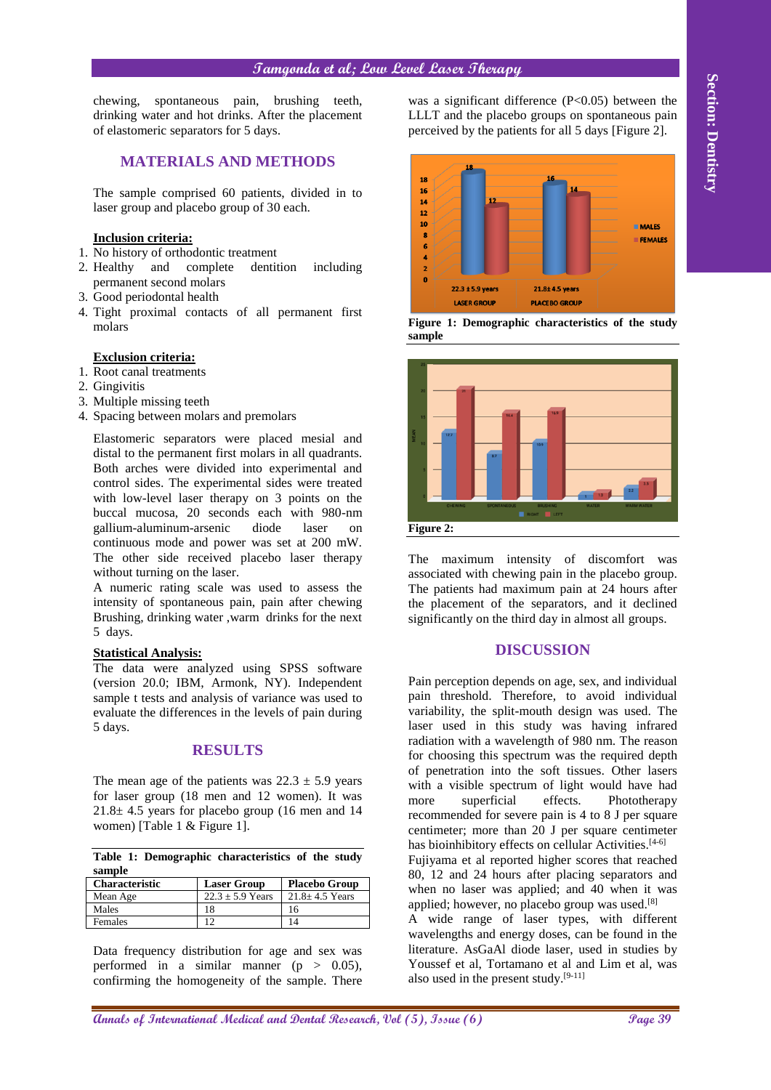# **Tamgonda et al; Low Level Laser Therapy**

chewing, spontaneous pain, brushing teeth, drinking water and hot drinks. After the placement of elastomeric separators for 5 days.

# **MATERIALS AND METHODS**

The sample comprised 60 patients, divided in to laser group and placebo group of 30 each.

## **Inclusion criteria:**

- 1. No history of orthodontic treatment
- 2. Healthy and complete dentition including permanent second molars
- 3. Good periodontal health
- 4. Tight proximal contacts of all permanent first molars

#### **Exclusion criteria:**

- 1. Root canal treatments
- 2. Gingivitis
- 3. Multiple missing teeth
- 4. Spacing between molars and premolars

Elastomeric separators were placed mesial and distal to the permanent first molars in all quadrants. Both arches were divided into experimental and control sides. The experimental sides were treated with low-level laser therapy on 3 points on the buccal mucosa, 20 seconds each with 980-nm gallium-aluminum-arsenic diode laser on continuous mode and power was set at 200 mW. The other side received placebo laser therapy without turning on the laser.

A numeric rating scale was used to assess the intensity of spontaneous pain, pain after chewing Brushing, drinking water ,warm drinks for the next 5 days.

## **Statistical Analysis:**

The data were analyzed using SPSS software (version 20.0; IBM, Armonk, NY). Independent sample t tests and analysis of variance was used to evaluate the differences in the levels of pain during 5 days.

## **RESULTS**

The mean age of the patients was  $22.3 \pm 5.9$  years for laser group (18 men and 12 women). It was  $21.8 \pm 4.5$  years for placebo group (16 men and 14 women) [Table 1 & Figure 1].

|        |  | Table 1: Demographic characteristics of the study |  |  |
|--------|--|---------------------------------------------------|--|--|
| sample |  |                                                   |  |  |

| <b>Characteristic</b> | <b>Laser Group</b>   | <b>Placebo Group</b> |
|-----------------------|----------------------|----------------------|
| Mean Age              | $22.3 \pm 5.9$ Years | $21.8 \pm 4.5$ Years |
| Males                 | 18                   | 16                   |
| <b>Females</b>        | $\overline{1}$       |                      |

Data frequency distribution for age and sex was performed in a similar manner  $(p > 0.05)$ , confirming the homogeneity of the sample. There

was a significant difference  $(P<0.05)$  between the LLLT and the placebo groups on spontaneous pain perceived by the patients for all 5 days [Figure 2].



**Figure 1: Demographic characteristics of the study sample**



The maximum intensity of discomfort was associated with chewing pain in the placebo group. The patients had maximum pain at 24 hours after the placement of the separators, and it declined significantly on the third day in almost all groups.

# **DISCUSSION**

**Anniby, a producers joint, strengthend** the strengthend effective of the transformation of the transformation of the content of the Content of the Content of the Content of the Content of the Content of the Content of the Pain perception depends on age, sex, and individual pain threshold. Therefore, to avoid individual variability, the split-mouth design was used. The laser used in this study was having infrared radiation with a wavelength of 980 nm. The reason for choosing this spectrum was the required depth of penetration into the soft tissues. Other lasers with a visible spectrum of light would have had more superficial effects. Phototherapy recommended for severe pain is 4 to 8 J per square centimeter; more than 20 J per square centimeter has bioinhibitory effects on cellular Activities.<sup>[4-6]</sup> Fujiyama et al reported higher scores that reached 80, 12 and 24 hours after placing separators and when no laser was applied; and 40 when it was applied; however, no placebo group was used.[8] A wide range of laser types, with different wavelengths and energy doses, can be found in the literature. AsGaAl diode laser, used in studies by

Youssef et al, Tortamano et al and Lim et al, was

also used in the present study. $[9-11]$